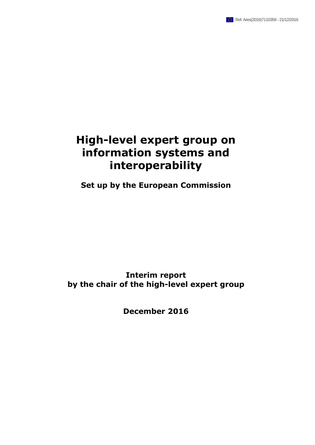# **High-level expert group on information systems and interoperability**

**Set up by the European Commission**

**Interim report by the chair of the high-level expert group**

**December 2016**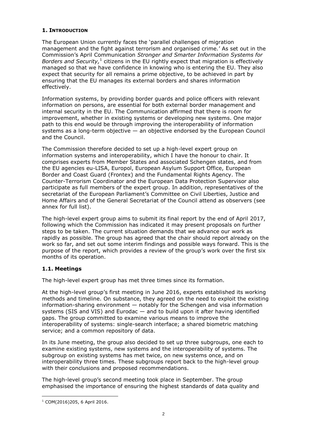## **1. INTRODUCTION**

The European Union currently faces the 'parallel challenges of migration management and the fight against terrorism and organised crime.' As set out in the Commission's April Communication *Stronger and Smarter Information Systems for*  Borders and Security,<sup>1</sup> citizens in the EU rightly expect that migration is effectively managed so that we have confidence in knowing who is entering the EU. They also expect that security for all remains a prime objective, to be achieved in part by ensuring that the EU manages its external borders and shares information effectively.

Information systems, by providing border guards and police officers with relevant information on persons, are essential for both external border management and internal security in the EU. The Communication affirmed that there is room for improvement, whether in existing systems or developing new systems. One major path to this end would be through improving the interoperability of information systems as a long-term objective  $-$  an objective endorsed by the European Council and the Council.

The Commission therefore decided to set up a high-level expert group on information systems and interoperability, which I have the honour to chair. It comprises experts from Member States and associated Schengen states, and from the EU agencies eu-LISA, Europol, European Asylum Support Office, European Border and Coast Guard (Frontex) and the Fundamental Rights Agency. The Counter-Terrorism Coordinator and the European Data Protection Supervisor also participate as full members of the expert group. In addition, representatives of the secretariat of the European Parliament's Committee on Civil Liberties, Justice and Home Affairs and of the General Secretariat of the Council attend as observers (see annex for full list).

The high-level expert group aims to submit its final report by the end of April 2017, following which the Commission has indicated it may present proposals on further steps to be taken. The current situation demands that we advance our work as rapidly as possible. The group has agreed that the chair should report already on the work so far, and set out some interim findings and possible ways forward. This is the purpose of the report, which provides a review of the group's work over the first six months of its operation.

## **1.1. Meetings**

The high-level expert group has met three times since its formation.

At the high-level group's first meeting in June 2016, experts established its working methods and timeline. On substance, they agreed on the need to exploit the existing information-sharing environment — notably for the Schengen and visa information systems (SIS and VIS) and Eurodac — and to build upon it after having identified gaps. The group committed to examine various means to improve the interoperability of systems: single-search interface; a shared biometric matching service; and a common repository of data.

In its June meeting, the group also decided to set up three subgroups, one each to examine existing systems, new systems and the interoperability of systems. The subgroup on existing systems has met twice, on new systems once, and on interoperability three times. These subgroups report back to the high-level group with their conclusions and proposed recommendations.

The high-level group's second meeting took place in September. The group emphasised the importance of ensuring the highest standards of data quality and

 $\overline{a}$ <sup>1</sup> COM(2016)205, 6 April 2016.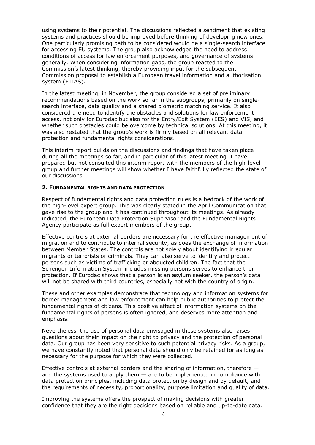using systems to their potential. The discussions reflected a sentiment that existing systems and practices should be improved before thinking of developing new ones. One particularly promising path to be considered would be a single-search interface for accessing EU systems. The group also acknowledged the need to address conditions of access for law enforcement purposes, and governance of systems generally. When considering information gaps, the group reacted to the Commission's latest thinking, thereby providing input for the subsequent Commission proposal to establish a European travel information and authorisation system (ETIAS).

In the latest meeting, in November, the group considered a set of preliminary recommendations based on the work so far in the subgroups, primarily on singlesearch interface, data quality and a shared biometric matching service. It also considered the need to identify the obstacles and solutions for law enforcement access, not only for Eurodac but also for the Entry/Exit System (EES) and VIS, and whether such obstacles could be overcome by technical solutions. At this meeting, it was also restated that the group's work is firmly based on all relevant data protection and fundamental rights considerations.

This interim report builds on the discussions and findings that have taken place during all the meetings so far, and in particular of this latest meeting. I have prepared but not consulted this interim report with the members of the high-level group and further meetings will show whether I have faithfully reflected the state of our discussions.

#### **2. FUNDAMENTAL RIGHTS AND DATA PROTECTION**

Respect of fundamental rights and data protection rules is a bedrock of the work of the high-level expert group. This was clearly stated in the April Communication that gave rise to the group and it has continued throughout its meetings. As already indicated, the European Data Protection Supervisor and the Fundamental Rights Agency participate as full expert members of the group.

Effective controls at external borders are necessary for the effective management of migration and to contribute to internal security, as does the exchange of information between Member States. The controls are not solely about identifying irregular migrants or terrorists or criminals. They can also serve to identify and protect persons such as victims of trafficking or abducted children. The fact that the Schengen Information System includes missing persons serves to enhance their protection. If Eurodac shows that a person is an asylum seeker, the person's data will not be shared with third countries, especially not with the country of origin.

These and other examples demonstrate that technology and information systems for border management and law enforcement can help public authorities to protect the fundamental rights of citizens. This positive effect of information systems on the fundamental rights of persons is often ignored, and deserves more attention and emphasis.

Nevertheless, the use of personal data envisaged in these systems also raises questions about their impact on the right to privacy and the protection of personal data. Our group has been very sensitive to such potential privacy risks. As a group, we have constantly noted that personal data should only be retained for as long as necessary for the purpose for which they were collected.

Effective controls at external borders and the sharing of information, therefore and the systems used to apply them  $-$  are to be implemented in compliance with data protection principles, including data protection by design and by default, and the requirements of necessity, proportionality, purpose limitation and quality of data.

Improving the systems offers the prospect of making decisions with greater confidence that they are the right decisions based on reliable and up-to-date data.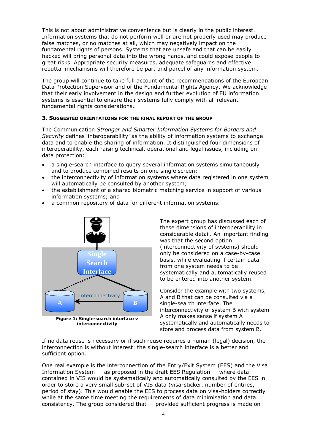This is not about administrative convenience but is clearly in the public interest. Information systems that do not perform well or are not properly used may produce false matches, or no matches at all, which may negatively impact on the fundamental rights of persons. Systems that are unsafe and that can be easily hacked will bring personal data into the wrong hands, and could expose people to great risks. Appropriate security measures, adequate safeguards and effective rebuttal mechanisms will therefore be part and parcel of any information system.

The group will continue to take full account of the recommendations of the European Data Protection Supervisor and of the Fundamental Rights Agency. We acknowledge that their early involvement in the design and further evolution of EU information systems is essential to ensure their systems fully comply with all relevant fundamental rights considerations.

#### **3. SUGGESTED ORIENTATIONS FOR THE FINAL REPORT OF THE GROUP**

The Communication *Stronger and Smarter Information Systems for Borders and Security* defines 'interoperability' as the ability of information systems to exchange data and to enable the sharing of information. It distinguished four dimensions of interoperability, each raising technical, operational and legal issues, including on data protection:

- a single-search interface to query several information systems simultaneously and to produce combined results on one single screen;
- the interconnectivity of information systems where data registered in one system will automatically be consulted by another system;
- the establishment of a shared biometric matching service in support of various information systems; and
- a common repository of data for different information systems.



**interconnectivity**

The expert group has discussed each of these dimensions of interoperability in considerable detail. An important finding was that the second option (interconnectivity of systems) should only be considered on a case-by-case basis, while evaluating if certain data from one system needs to be systematically and automatically reused to be entered into another system.

Consider the example with two systems, A and B that can be consulted via a single-search interface. The interconnectivity of system B with system A only makes sense if system A systematically and automatically needs to store and process data from system B.

If no data reuse is necessary or if such reuse requires a human (legal) decision, the interconnection is without interest: the single-search interface is a better and sufficient option.

One real example is the interconnection of the Entry/Exit System (EES) and the Visa Information System  $-$  as proposed in the draft EES Regulation  $-$  where data contained in VIS would be systematically and automatically consulted by the EES in order to store a very small sub-set of VIS data (visa-sticker, number of entries, period of stay). This would enable the EES to process data on visa-holders correctly while at the same time meeting the requirements of data minimisation and data consistency. The group considered that  $-$  provided sufficient progress is made on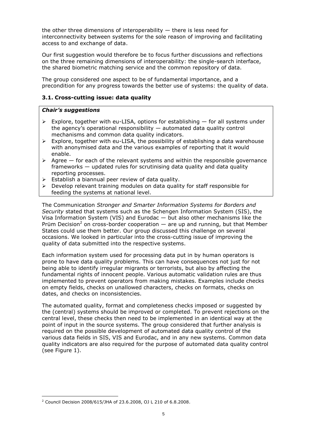the other three dimensions of interoperability  $-$  there is less need for interconnectivity between systems for the sole reason of improving and facilitating access to and exchange of data.

Our first suggestion would therefore be to focus further discussions and reflections on the three remaining dimensions of interoperability: the single-search interface, the shared biometric matching service and the common repository of data.

The group considered one aspect to be of fundamental importance, and a precondition for any progress towards the better use of systems: the quality of data.

## **3.1. Cross-cutting issue: data quality**

#### *Chair's suggestions*

- $\triangleright$  Explore, together with eu-LISA, options for establishing  $-$  for all systems under the agency's operational responsibility — automated data quality control mechanisms and common data quality indicators.
- $\triangleright$  Explore, together with eu-LISA, the possibility of establishing a data warehouse with anonymised data and the various examples of reporting that it would enable.
- $\triangleright$  Agree for each of the relevant systems and within the responsible governance frameworks — updated rules for scrutinising data quality and data quality reporting processes.
- $\triangleright$  Establish a biannual peer review of data quality.
- $\triangleright$  Develop relevant training modules on data quality for staff responsible for feeding the systems at national level.

The Communication *Stronger and Smarter Information Systems for Borders and Security* stated that systems such as the Schengen Information System (SIS), the Visa Information System (VIS) and Eurodac — but also other mechanisms like the Prüm Decision<sup>2</sup> on cross-border cooperation  $-$  are up and running, but that Member States could use them better. Our group discussed this challenge on several occasions. We looked in particular into the cross-cutting issue of improving the quality of data submitted into the respective systems.

Each information system used for processing data put in by human operators is prone to have data quality problems. This can have consequences not just for not being able to identify irregular migrants or terrorists, but also by affecting the fundamental rights of innocent people. Various automatic validation rules are thus implemented to prevent operators from making mistakes. Examples include checks on empty fields, checks on unallowed characters, checks on formats, checks on dates, and checks on inconsistencies.

The automated quality, format and completeness checks imposed or suggested by the (central) systems should be improved or completed. To prevent rejections on the central level, these checks then need to be implemented in an identical way at the point of input in the source systems. The group considered that further analysis is required on the possible development of automated data quality control of the various data fields in SIS, VIS and Eurodac, and in any new systems. Common data quality indicators are also required for the purpose of automated data quality control (see Figure 1).

 $\overline{a}$ 

<sup>2</sup> Council Decision 2008/615/JHA of 23.6.2008, OJ L 210 of 6.8.2008.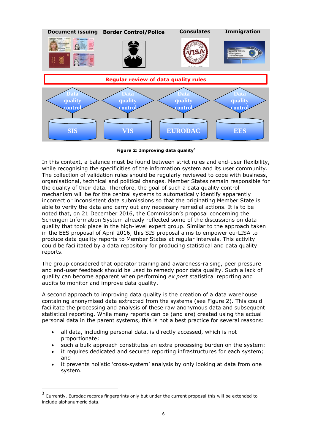

**Figure 2: Improving data quality<sup>3</sup>**

In this context, a balance must be found between strict rules and end-user flexibility, while recognising the specificities of the information system and its user community. The collection of validation rules should be regularly reviewed to cope with business, organisational, technical and political changes. Member States remain responsible for the quality of their data. Therefore, the goal of such a data quality control mechanism will be for the central systems to automatically identify apparently incorrect or inconsistent data submissions so that the originating Member State is able to verify the data and carry out any necessary remedial actions. It is to be noted that, on 21 December 2016, the Commission's proposal concerning the Schengen Information System already reflected some of the discussions on data quality that took place in the high-level expert group. Similar to the approach taken in the EES proposal of April 2016, this SIS proposal aims to empower eu-LISA to produce data quality reports to Member States at regular intervals. This activity could be facilitated by a data repository for producing statistical and data quality reports.

The group considered that operator training and awareness-raising, peer pressure and end-user feedback should be used to remedy poor data quality. Such a lack of quality can become apparent when performing *ex post* statistical reporting and audits to monitor and improve data quality.

A second approach to improving data quality is the creation of a data warehouse containing anonymised data extracted from the systems (see Figure 2). This could facilitate the processing and analysis of these raw anonymous data and subsequent statistical reporting. While many reports can be (and are) created using the actual personal data in the parent systems, this is not a best practice for several reasons:

- all data, including personal data, is directly accessed, which is not proportionate;
- such a bulk approach constitutes an extra processing burden on the system:
- it requires dedicated and secured reporting infrastructures for each system; and
- it prevents holistic 'cross-system' analysis by only looking at data from one system.

 $\overline{a}$ 

<sup>3</sup> Currently, Eurodac records fingerprints only but under the current proposal this will be extended to include alphanumeric data.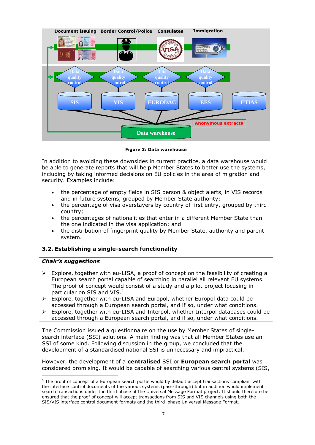

**Figure 3: Data warehouse**

In addition to avoiding these downsides in current practice, a data warehouse would be able to generate reports that will help Member States to better use the systems, including by taking informed decisions on EU policies in the area of migration and security. Examples include:

- the percentage of empty fields in SIS person & object alerts, in VIS records and in future systems, grouped by Member State authority;
- the percentage of visa overstayers by country of first entry, grouped by third country;
- the percentages of nationalities that enter in a different Member State than the one indicated in the visa application; and
- the distribution of fingerprint quality by Member State, authority and parent system.

## **3.2. Establishing a single-search functionality**

## *Chair's suggestions*

 $\overline{a}$ 

- $\triangleright$  Explore, together with eu-LISA, a proof of concept on the feasibility of creating a European search portal capable of searching in parallel all relevant EU systems. The proof of concept would consist of a study and a pilot project focusing in particular on SIS and VIS.<sup>4</sup>
- $\triangleright$  Explore, together with eu-LISA and Europol, whether Europol data could be accessed through a European search portal, and if so, under what conditions.
- $\triangleright$  Explore, together with eu-LISA and Interpol, whether Interpol databases could be accessed through a European search portal, and if so, under what conditions.

The Commission issued a questionnaire on the use by Member States of singlesearch interface (SSI) solutions. A main finding was that all Member States use an SSI of some kind. Following discussion in the group, we concluded that the development of a standardised national SSI is unnecessary and impractical.

However, the development of a **centralised** SSI or **European search portal** was considered promising. It would be capable of searching various central systems (SIS,

<sup>&</sup>lt;sup>4</sup> The proof of concept of a European search portal would by default accept transactions compliant with the interface control documents of the various systems (pass-through) but in addition would implement search transactions under the third phase of the Universal Message Format project. It should therefore be ensured that the proof of concept will accept transactions from SIS and VIS channels using both the SIS/VIS interface control document formats and the third–phase Universal Message Format.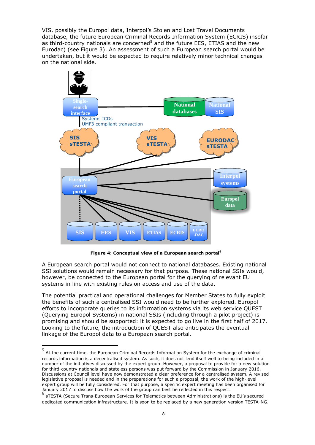VIS, possibly the Europol data, Interpol's Stolen and Lost Travel Documents database, the future European Criminal Records Information System (ECRIS) insofar as third-country nationals are concerned<sup>5</sup> and the future EES, ETIAS and the new Eurodac) (see Figure 3). An assessment of such a European search portal would be undertaken, but it would be expected to require relatively minor technical changes on the national side.



**Figure 4: Conceptual view of a European search portal<sup>6</sup>**

A European search portal would not connect to national databases. Existing national SSI solutions would remain necessary for that purpose. These national SSIs would, however, be connected to the European portal for the querying of relevant EU systems in line with existing rules on access and use of the data.

The potential practical and operational challenges for Member States to fully exploit the benefits of such a centralised SSI would need to be further explored. Europol efforts to incorporate queries to its information systems via its web service QUEST (Querying Europol Systems) in national SSIs (including through a pilot project) is promising and should be supported: it is expected to go live in the first half of 2017. Looking to the future, the introduction of QUEST also anticipates the eventual linkage of the Europol data to a European search portal.

<sup>&</sup>lt;u>5</u><br>5 At the current time, the European Criminal Records Information System for the exchange of criminal records information is a decentralised system. As such, it does not lend itself well to being included in a number of the initiatives discussed by the expert group. However, a proposal to provide for a new solution for third-country nationals and stateless persons was put forward by the Commission in January 2016. Discussions at Council level have now demonstrated a clear preference for a centralised system. A revised legislative proposal is needed and in the preparations for such a proposal, the work of the high-level expert group will be fully considered. For that purpose, a specific expert meeting has been organised for January 2017 to discuss how the work of the group can best be reflected in this respect.

<sup>6</sup> sTESTA (Secure Trans-European Services for Telematics between Administrations) is the EU's secured dedicated communication infrastructure. It is soon to be replaced by a new generation version TESTA-NG.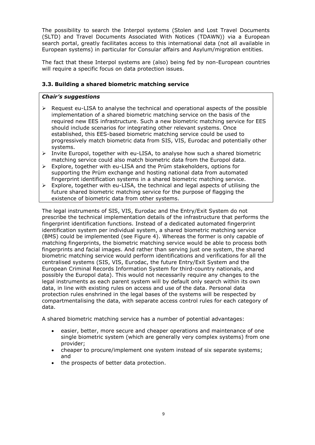The possibility to search the Interpol systems (Stolen and Lost Travel Documents (SLTD) and Travel Documents Associated With Notices (TDAWN)) via a European search portal, greatly facilitates access to this international data (not all available in European systems) in particular for Consular affairs and Asylum/migration entities.

The fact that these Interpol systems are (also) being fed by non-European countries will require a specific focus on data protection issues.

## **3.3. Building a shared biometric matching service**

## *Chair's suggestions*

- $\triangleright$  Request eu-LISA to analyse the technical and operational aspects of the possible implementation of a shared biometric matching service on the basis of the required new EES infrastructure. Such a new biometric matching service for EES should include scenarios for integrating other relevant systems. Once established, this EES-based biometric matching service could be used to progressively match biometric data from SIS, VIS, Eurodac and potentially other systems.
- $\triangleright$  Invite Europol, together with eu-LISA, to analyse how such a shared biometric matching service could also match biometric data from the Europol data.
- Explore, together with eu-LISA and the Prüm stakeholders, options for supporting the Prüm exchange and hosting national data from automated fingerprint identification systems in a shared biometric matching service.
- $\triangleright$  Explore, together with eu-LISA, the technical and legal aspects of utilising the future shared biometric matching service for the purpose of flagging the existence of biometric data from other systems.

The legal instruments of SIS, VIS, Eurodac and the Entry/Exit System do not prescribe the technical implementation details of the infrastructure that performs the fingerprint identification functions. Instead of a dedicated automated fingerprint identification system per individual system, a shared biometric matching service (BMS) could be implemented (see Figure 4). Whereas the former is only capable of matching fingerprints, the biometric matching service would be able to process both fingerprints and facial images. And rather than serving just one system, the shared biometric matching service would perform identifications and verifications for all the centralised systems (SIS, VIS, Eurodac, the future Entry/Exit System and the European Criminal Records Information System for third-country nationals, and possibly the Europol data). This would not necessarily require any changes to the legal instruments as each parent system will by default only search within its own data, in line with existing rules on access and use of the data. Personal data protection rules enshrined in the legal bases of the systems will be respected by compartmentalising the data, with separate access control rules for each category of data.

A shared biometric matching service has a number of potential advantages:

- easier, better, more secure and cheaper operations and maintenance of one single biometric system (which are generally very complex systems) from one provider;
- cheaper to procure/implement one system instead of six separate systems; and
- the prospects of better data protection.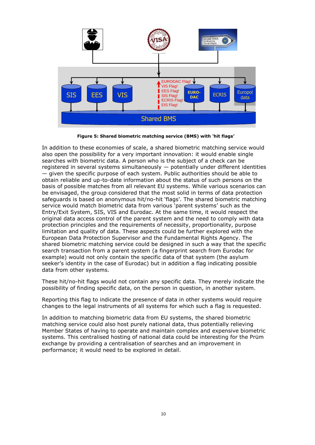

**Figure 5: Shared biometric matching service (BMS) with 'hit flags'**

In addition to these economies of scale, a shared biometric matching service would also open the possibility for a very important innovation: it would enable single searches with biometric data. A person who is the subject of a check can be registered in several systems simultaneously — potentially under different identities — given the specific purpose of each system. Public authorities should be able to obtain reliable and up-to-date information about the status of such persons on the basis of possible matches from all relevant EU systems. While various scenarios can be envisaged, the group considered that the most solid in terms of data protection safeguards is based on anonymous hit/no-hit 'flags'. The shared biometric matching service would match biometric data from various 'parent systems' such as the Entry/Exit System, SIS, VIS and Eurodac. At the same time, it would respect the original data access control of the parent system and the need to comply with data protection principles and the requirements of necessity, proportionality, purpose limitation and quality of data. These aspects could be further explored with the European Data Protection Supervisor and the Fundamental Rights Agency. The shared biometric matching service could be designed in such a way that the specific search transaction from a parent system (a fingerprint search from Eurodac for example) would not only contain the specific data of that system (the asylum seeker's identity in the case of Eurodac) but in addition a flag indicating possible data from other systems.

These hit/no-hit flags would not contain any specific data. They merely indicate the possibility of finding specific data, on the person in question, in another system.

Reporting this flag to indicate the presence of data in other systems would require changes to the legal instruments of all systems for which such a flag is requested.

In addition to matching biometric data from EU systems, the shared biometric matching service could also host purely national data, thus potentially relieving Member States of having to operate and maintain complex and expensive biometric systems. This centralised hosting of national data could be interesting for the Prüm exchange by providing a centralisation of searches and an improvement in performance; it would need to be explored in detail.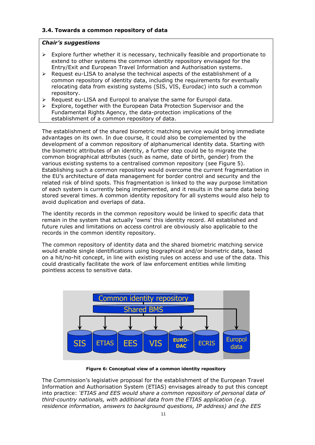## **3.4. Towards a common repository of data**

## *Chair's suggestions*

- $\triangleright$  Explore further whether it is necessary, technically feasible and proportionate to extend to other systems the common identity repository envisaged for the Entry/Exit and European Travel Information and Authorisation systems.
- Request eu-LISA to analyse the technical aspects of the establishment of a common repository of identity data, including the requirements for eventually relocating data from existing systems (SIS, VIS, Eurodac) into such a common repository.
- $\triangleright$  Request eu-LISA and Europol to analyse the same for Europol data.
- Explore, together with the European Data Protection Supervisor and the Fundamental Rights Agency, the data-protection implications of the establishment of a common repository of data.

The establishment of the shared biometric matching service would bring immediate advantages on its own. In due course, it could also be complemented by the development of a common repository of alphanumerical identity data. Starting with the biometric attributes of an identity, a further step could be to migrate the common biographical attributes (such as name, date of birth, gender) from the various existing systems to a centralised common repository (see Figure 5). Establishing such a common repository would overcome the current fragmentation in the EU's architecture of data management for border control and security and the related risk of blind spots. This fragmentation is linked to the way purpose limitation of each system is currently being implemented, and it results in the same data being stored several times. A common identity repository for all systems would also help to avoid duplication and overlaps of data.

The identity records in the common repository would be linked to specific data that remain in the system that actually 'owns' this identity record. All established and future rules and limitations on access control are obviously also applicable to the records in the common identity repository.

The common repository of identity data and the shared biometric matching service would enable single identifications using biographical and/or biometric data, based on a hit/no-hit concept, in line with existing rules on access and use of the data. This could drastically facilitate the work of law enforcement entities while limiting pointless access to sensitive data.



**Figure 6: Conceptual view of a common identity repository**

The Commission's legislative proposal for the establishment of the European Travel Information and Authorisation System (ETIAS) envisages already to put this concept into practice: *'ETIAS and EES would share a common repository of personal data of third-country nationals, with additional data from the ETIAS application (e.g. residence information, answers to background questions, IP address) and the EES*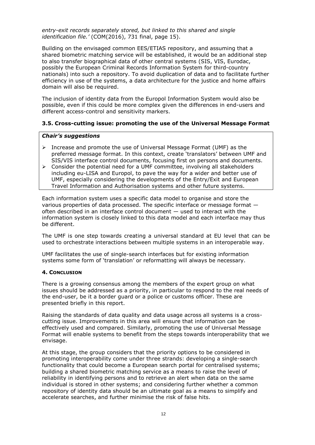*entry-exit records separately stored, but linked to this shared and single identification file.'* (COM(2016), 731 final, page 15).

Building on the envisaged common EES/ETIAS repository, and assuming that a shared biometric matching service will be established, it would be an additional step to also transfer biographical data of other central systems (SIS, VIS, Eurodac, possibly the European Criminal Records Information System for third-country nationals) into such a repository. To avoid duplication of data and to facilitate further efficiency in use of the systems, a data architecture for the justice and home affairs domain will also be required.

The inclusion of identity data from the Europol Information System would also be possible, even if this could be more complex given the differences in end-users and different access-control and sensitivity markers.

## **3.5. Cross-cutting issue: promoting the use of the Universal Message Format**

## *Chair's suggestions*

- Increase and promote the use of Universal Message Format (UMF) as the preferred message format. In this context, create 'translators' between UMF and SIS/VIS interface control documents, focusing first on persons and documents.
- $\triangleright$  Consider the potential need for a UMF committee, involving all stakeholders including eu-LISA and Europol, to pave the way for a wider and better use of UMF, especially considering the developments of the Entry/Exit and European Travel Information and Authorisation systems and other future systems.

Each information system uses a specific data model to organise and store the various properties of data processed. The specific interface or message format often described in an interface control document — used to interact with the information system is closely linked to this data model and each interface may thus be different.

The UMF is one step towards creating a universal standard at EU level that can be used to orchestrate interactions between multiple systems in an interoperable way.

UMF facilitates the use of single-search interfaces but for existing information systems some form of 'translation' or reformatting will always be necessary.

## **4. CONCLUSION**

There is a growing consensus among the members of the expert group on what issues should be addressed as a priority, in particular to respond to the real needs of the end-user, be it a border guard or a police or customs officer. These are presented briefly in this report.

Raising the standards of data quality and data usage across all systems is a crosscutting issue. Improvements in this area will ensure that information can be effectively used and compared. Similarly, promoting the use of Universal Message Format will enable systems to benefit from the steps towards interoperability that we envisage.

At this stage, the group considers that the priority options to be considered in promoting interoperability come under three strands: developing a single-search functionality that could become a European search portal for centralised systems; building a shared biometric matching service as a means to raise the level of reliability in identifying persons and to retrieve an alert when data on the same individual is stored in other systems; and considering further whether a common repository of identity data should be an ultimate goal as a means to simplify and accelerate searches, and further minimise the risk of false hits.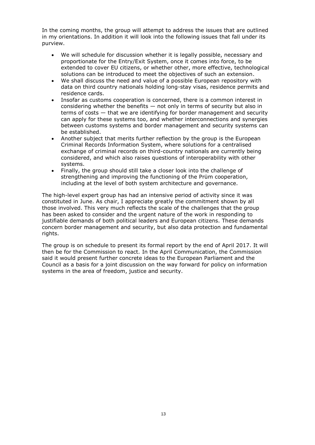In the coming months, the group will attempt to address the issues that are outlined in my orientations. In addition it will look into the following issues that fall under its purview.

- We will schedule for discussion whether it is legally possible, necessary and proportionate for the Entry/Exit System, once it comes into force, to be extended to cover EU citizens, or whether other, more effective, technological solutions can be introduced to meet the objectives of such an extension.
- We shall discuss the need and value of a possible European repository with data on third country nationals holding long-stay visas, residence permits and residence cards.
- Insofar as customs cooperation is concerned, there is a common interest in considering whether the benefits — not only in terms of security but also in terms of costs — that we are identifying for border management and security can apply for these systems too, and whether interconnections and synergies between customs systems and border management and security systems can be established.
- Another subject that merits further reflection by the group is the European Criminal Records Information System, where solutions for a centralised exchange of criminal records on third-country nationals are currently being considered, and which also raises questions of interoperability with other systems.
- Finally, the group should still take a closer look into the challenge of strengthening and improving the functioning of the Prüm cooperation, including at the level of both system architecture and governance.

The high-level expert group has had an intensive period of activity since it was constituted in June. As chair, I appreciate greatly the commitment shown by all those involved. This very much reflects the scale of the challenges that the group has been asked to consider and the urgent nature of the work in responding to justifiable demands of both political leaders and European citizens. These demands concern border management and security, but also data protection and fundamental rights.

The group is on schedule to present its formal report by the end of April 2017. It will then be for the Commission to react. In the April Communication, the Commission said it would present further concrete ideas to the European Parliament and the Council as a basis for a joint discussion on the way forward for policy on information systems in the area of freedom, justice and security.